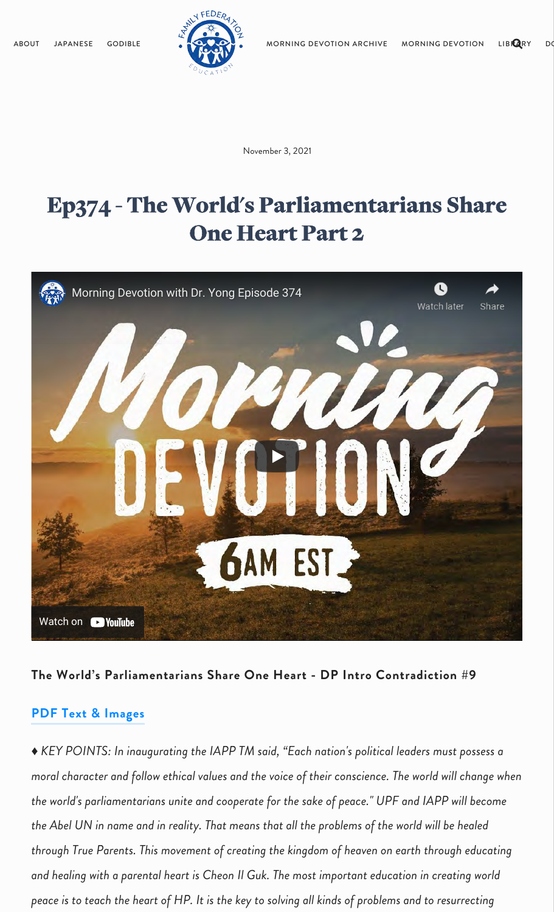

November 3, 2021

# Ep374 - The World's Parliamentarians Share One Heart Part 2



#### The World's Parliamentarians Share One Heart - DP Intro Contradiction #9

#### **PDF Text & Image**

♦ KEY POINTS: In inaugurating the IAPP TM said, "Each nation's political leaders must possess a *moral character and follow ethical values and the voice of their conscience. The world will change when* the world's parliamentarians unite and cooperate for the sake of peace." UPF and IAPP will become the Abel UN in name and in reality. That means that all the problems of the world will be healed through True Parents. This movement of creating the kingdom of heaven on earth through educating and healing with a parental heart is Cheon II Guk. The most important education in creating world *peace is to teach the heart of HP. It is the key to solving all kinds of problems and to resurrecting*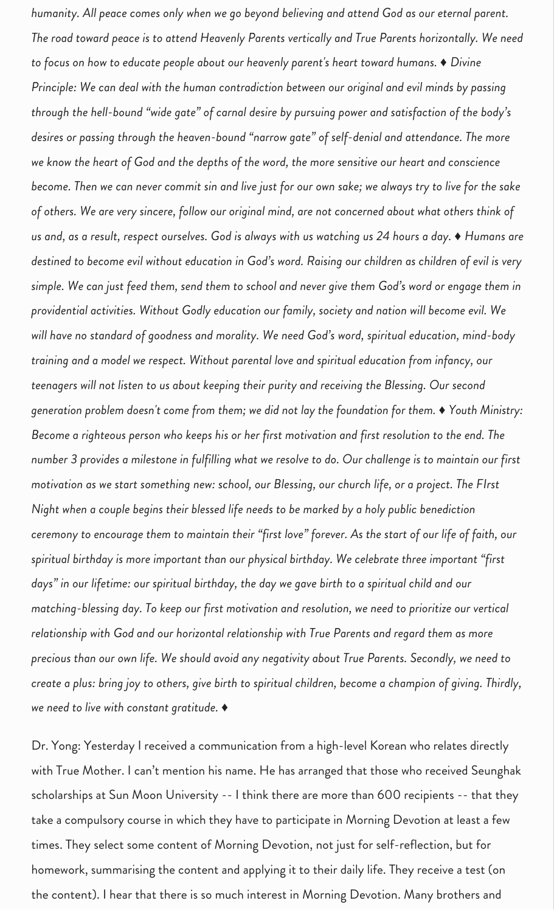humanity. All peace comes only when we go beyond believing and attend God as our eternal parent. The road toward peace is to attend Heavenly Parents vertically and True Parents horizontally. We need *to focus on how to educate people about our heavenly parent's heart toward humans. ♦ Divine Principle: We can deal with the human contradiction between our original and evil minds by passing* through the hell-bound "wide gate" of carnal desire by pursuing power and satisfaction of the body's desires or passing through the heaven-bound "narrow gate" of self-denial and attendance. The more we know the heart of God and the depths of the word, the more sensitive our heart and conscience become. Then we can never commit sin and live just for our own sake; we always try to live for the sake of others. We are very sincere, follow our original mind, are not concerned about what others think of *us and, as a result, respect ourselves. God is always with us watching us 24 hours a day. ♦* Humans are destined to become evil without education in God's word. Raising our children as children of evil is very simple. We can just feed them, send them to school and never give them God's word or engage them in providential activities. Without Godly education our family, society and nation will become evil. We will have no standard of goodness and morality. We need God's word, spiritual education, mind-body training and a model we respect. Without parental love and spiritual education from infancy, our teenagers will not listen to us about keeping their purity and receiving the Blessing. Our second *generation problem doesn't come from them; we did not lay the foundation for them.*  $\bullet$  Youth Ministry: Become a righteous person who keeps his or her first motivation and first resolution to the end. The number 3 provides a milestone in fulfilling what we resolve to do. Our challenge is to maintain our first motivation as we start something new: school, our Blessing, our church life, or a project. The FIrst *Night when a couple begins their blessed life needs to be marked by a holy public benediction* ceremony to encourage them to maintain their "first love" forever. As the start of our life of faith, our spiritual birthday is more important than our physical birthday. We celebrate three important "first days" in our lifetime: our spiritual birthday, the day we gave birth to a spiritual child and our matching-blessing day. To keep our first motivation and resolution, we need to prioritize our vertical relationship with God and our horizontal relationship with True Parents and regard them as more precious than our own life. We should avoid any negativity about True Parents. Secondly, we need to create a plus: bring joy to others, give birth to spiritual children, become a champion of giving. Thirdly, *we need to live with contant gratitude. ♦*

Dr. Yong: Yesterday I received a communication from a high-level Korean who relates directly with True Mother. I can't mention his name. He has arranged that those who received Seunghak scholarships at Sun Moon University -- I think there are more than 600 recipients -- that they take a compulsory course in which they have to participate in Morning Devotion at least a few times. They select some content of Morning Devotion, not just for self-reflection, but for homework, summarising the content and applying it to their daily life. They receive a test (on the content). I hear that there is so much interest in Morning Devotion. Many brothers and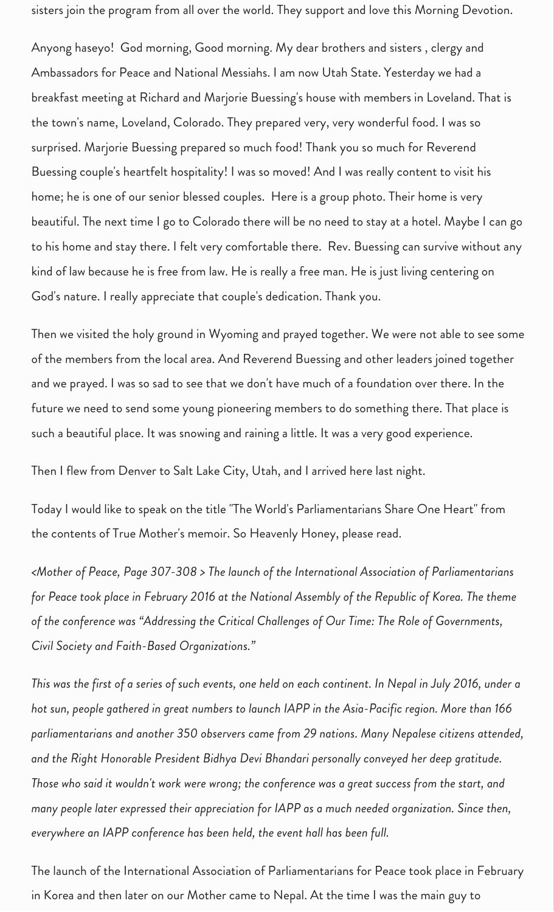sisters join the program from all over the world. They support and love this Morning Devotion.

Anyong haseyo! God morning, Good morning. My dear brothers and sisters, clergy and Ambassadors for Peace and National Messiahs. I am now Utah State. Yesterday we had a breakfast meeting at Richard and Marjorie Buessing's house with members in Loveland. That is the town's name, Loveland, Colorado. They prepared very, very wonderful food. I was so surprised. Marjorie Buessing prepared so much food! Thank you so much for Reverend Buessing couple's heartfelt hospitality! I was so moved! And I was really content to visit his home; he is one of our senior blessed couples. Here is a group photo. Their home is very beautiful. The next time I go to Colorado there will be no need to stay at a hotel. Maybe I can go to his home and stay there. I felt very comfortable there. Rev. Buessing can survive without any kind of law because he is free from law. He is really a free man. He is just living centering on God's nature. I really appreciate that couple's dedication. Thank you.

Then we visited the holy ground in Wyoming and prayed together. We were not able to see some of the members from the local area. And Reverend Buessing and other leaders joined together and we prayed. I was so sad to see that we don't have much of a foundation over there. In the future we need to send some young pioneering members to do something there. That place is such a beautiful place. It was snowing and raining a little. It was a very good experience.

Then I flew from Denver to Salt Lake City, Utah, and I arrived here last night.

Today I would like to speak on the title "The World's Parliamentarians Share One Heart" from the contents of True Mother's memoir. So Heavenly Honey, please read.

*<Mother of Peace, Page 307-308 > The launch of the International Aociation of Parliamentarian* for Peace took place in February 2016 at the National Assembly of the Republic of Korea. The theme of the conference was "Addressing the Critical Challenges of Our Time: The Role of Governments, *Civil Society and Faith-Based Organizations."* 

This was the first of a series of such events, one held on each continent. In Nepal in July 2016, under a hot sun, people gathered in great numbers to launch IAPP in the Asia-Pacific region. More than 166 parliamentarians and another 350 observers came from 29 nations. Many Nepalese citizens attended, and the Right Honorable President Bidhya Devi Bhandari personally conveyed her deep gratitude. Those who said it wouldn't work were wrong; the conference was a great success from the start, and many people later expressed their appreciation for IAPP as a much needed organization. Since then, everywhere an IAPP conference has been held, the event hall has been full.

The launch of the International Association of Parliamentarians for Peace took place in February in Korea and then later on our Mother came to Nepal. At the time I was the main guy to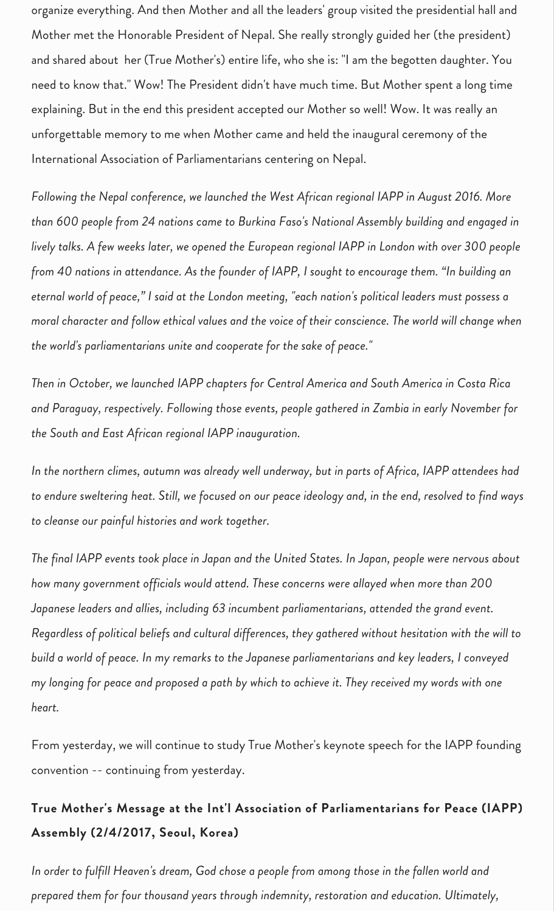organize everything. And then Mother and all the leaders' group visited the presidential hall and Mother met the Honorable President of Nepal. She really strongly guided her (the president) and shared about her (True Mother's) entire life, who she is: "I am the begotten daughter. You need to know that." Wow! The President didn't have much time. But Mother spent a long time explaining. But in the end this president accepted our Mother so well! Wow. It was really an unforgettable memory to me when Mother came and held the inaugural ceremony of the International Association of Parliamentarians centering on Nepal.

*Following the Nepal conference, we launched the Wet African regional IAPP in Augut 2016. More* than 600 people from 24 nations came to Burkina Faso's National Assembly building and engaged in *lively talks. A few weeks later, we opened the European regional IAPP in London with over 300 people from 40 nations in attendance. As the founder of IAPP, I sought to encourage them. "In building an* eternal world of peace," I said at the London meeting, "each nation's political leaders must possess a *moral character and follow ethical values and the voice of their conscience. The world will change when* the world's parliamentarians unite and cooperate for the sake of peace."

*Then in October, we launched IAPP chapters for Central America and South America in Costa Rica* and Paraguay, respectively. Following those events, people gathered in Zambia in early November for the South and East African regional IAPP inauguration.

In the northern climes, autumn was already well underway, but in parts of Africa, IAPP attendees had to endure sweltering heat. Still, we focused on our peace ideology and, in the end, resolved to find ways *to cleane our painful hitorie and work together.*

The final IAPP events took place in Japan and the United States. In Japan, people were nervous about how many government officials would attend. These concerns were allayed when more than 200 Japanese leaders and allies, including 63 incumbent parliamentarians, attended the grand event. Regardless of political beliefs and cultural differences, they gathered without hesitation with the will to build a world of peace. In my remarks to the Japanese parliamentarians and key leaders, I conveyed *my longing for peace and proposed a path by which to achieve it. They received my words with one heart.*

From yesterday, we will continue to study True Mother's keynote speech for the IAPP founding convention -- continuing from yesterday.

# True Mother's Message at the Int'l Association of Parliamentarians for Peace (IAPP) **Aeml (2/4/2017, eoul, Korea)**

In order to fulfill Heaven's dream, God chose a people from among those in the fallen world and prepared them for four thousand years through indemnity, restoration and education. Ultimately,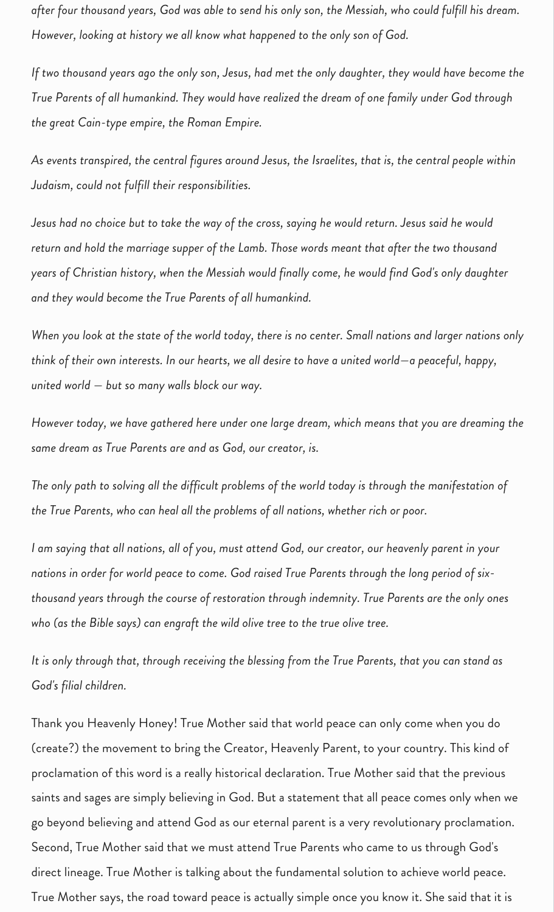after four thousand years, God was able to send his only son, the Messiah, who could fulfill his dream. However, looking at history we all know what happened to the only son of God.

*If two thousand years ago the only son, Jesus, had met the only daughter, they would have become the True Parents of all humankind. They would have realized the dream of one family under God through* the great Cain-type empire, the Roman Empire.

As events transpired, the central figures around Jesus, the Israelites, that is, the central people within *Judaim, could not fulfill their reponiilitie.* 

Jesus had no choice but to take the way of the cross, saying he would return. Jesus said he would return and hold the marriage supper of the Lamb. Those words meant that after the two thousand years of Christian history, when the Messiah would finally come, he would find God's only daughter and they would become the True Parents of all humankind.

When you look at the state of the world today, there is no center. Small nations and larger nations only *think of their own interet. In our heart, we all deire to have a united world—a peaceful, happ, united world – but so many walls block our way.* 

However today, we have gathered here under one large dream, which means that you are dreaming the same dream as True Parents are and as God, our creator, is.

The only path to solving all the difficult problems of the world today is through the manifestation of the True Parents, who can heal all the problems of all nations, whether rich or poor.

I am saying that all nations, all of you, must attend God, our creator, our heavenly parent in your nations in order for world peace to come. God raised True Parents through the long period of sixthousand years through the course of restoration through indemnity. True Parents are the only ones *who (as the Bible says) can engraft the wild olive tree to the true olive tree.* 

It is only through that, through receiving the blessing from the True Parents, that you can stand as *God' filial children.*

Thank you Heavenly Honey! True Mother said that world peace can only come when you do (create?) the movement to bring the Creator, Heavenly Parent, to your country. This kind of proclamation of this word is a really historical declaration. True Mother said that the previous saints and sages are simply believing in God. But a statement that all peace comes only when we go beyond believing and attend God as our eternal parent is a very revolutionary proclamation. Second, True Mother said that we must attend True Parents who came to us through God's direct lineage. True Mother is talking about the fundamental solution to achieve world peace. True Mother says, the road toward peace is actually simple once you know it. She said that it is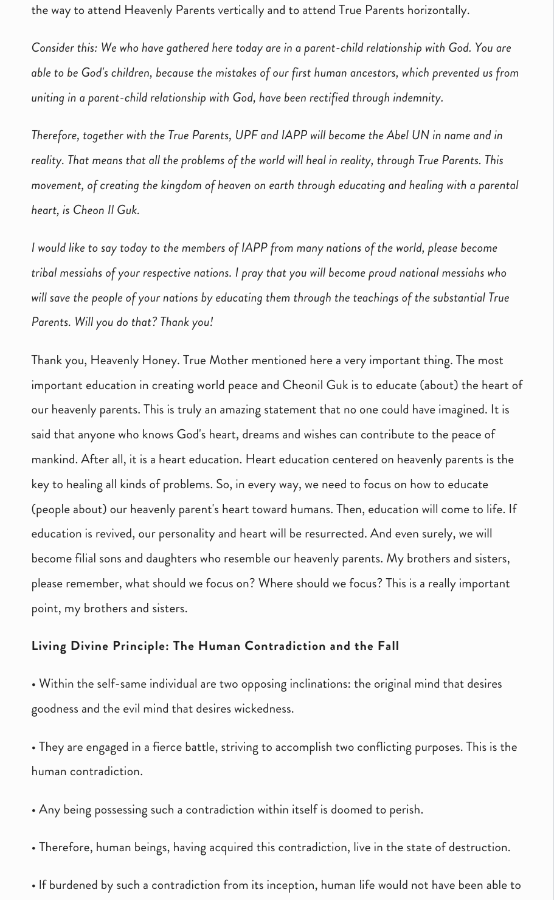the way to attend Heavenly Parents vertically and to attend True Parents horizontally.

Consider this: We who have gathered here today are in a parent-child relationship with God. You are able to be God's children, because the mistakes of our first human ancestors, which prevented us from uniting in a parent-child relationship with God, have been rectified through indemnity.

Therefore, together with the True Parents, UPF and IAPP will become the Abel UN in name and in reality. That means that all the problems of the world will heal in reality, through True Parents. This *movement, of creating the kingdom of heaven on earth through educating and healing with a parental* heart, is Cheon II Guk.

*I* would like to say today to the members of IAPP from many nations of the world, please become tribal messiahs of your respective nations. I pray that you will become proud national messiahs who will save the people of your nations by educating them through the teachings of the substantial True Parents. Will you do that? Thank you!

Thank you, Heavenly Honey. True Mother mentioned here a very important thing. The most important education in creating world peace and Cheonil Guk is to educate (about) the heart of our heavenly parents. This is truly an amazing statement that no one could have imagined. It is said that anyone who knows God's heart, dreams and wishes can contribute to the peace of mankind. After all, it is a heart education. Heart education centered on heavenly parents is the key to healing all kinds of problems. So, in every way, we need to focus on how to educate (people about) our heavenly parent's heart toward humans. Then, education will come to life. If education is revived, our personality and heart will be resurrected. And even surely, we will become filial sons and daughters who resemble our heavenly parents. My brothers and sisters, please remember, what should we focus on? Where should we focus? This is a really important point, my brothers and sisters.

#### **Living Divine Principle: The Human Contradiction and the Fall**

• Within the self-same individual are two opposing inclinations: the original mind that desires goodness and the evil mind that desires wickedness.

• They are engaged in a fierce battle, striving to accomplish two conflicting purposes. This is the human contradiction.

• Any being possessing such a contradiction within itself is doomed to perish.

• Therefore, human beings, having acquired this contradiction, live in the state of destruction.

• If burdened by such a contradiction from its inception, human life would not have been able to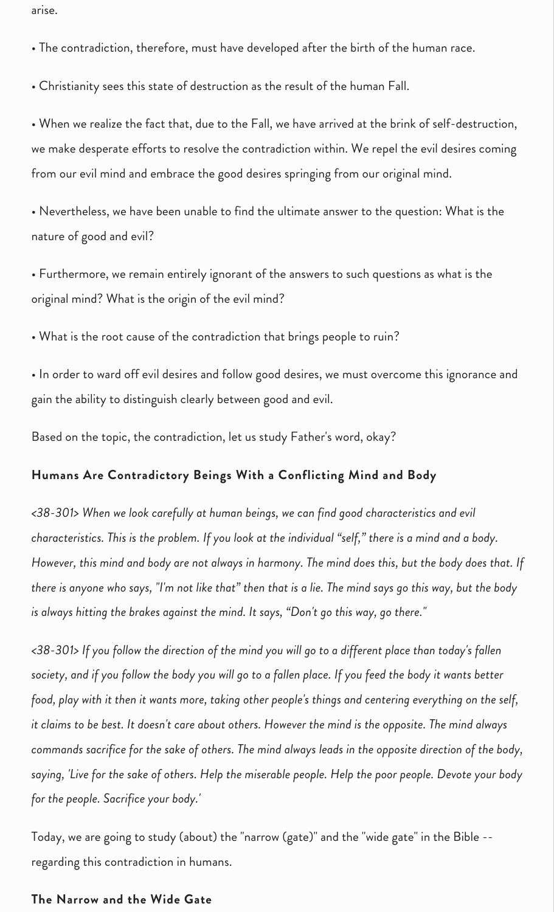arise.

• The contradiction, therefore, must have developed after the birth of the human race.

• Christianity sees this state of destruction as the result of the human Fall.

• When we realize the fact that, due to the Fall, we have arrived at the brink of self-destruction, we make desperate efforts to resolve the contradiction within. We repel the evil desires coming from our evil mind and embrace the good desires springing from our original mind.

• Nevertheless, we have been unable to find the ultimate answer to the question: What is the nature of good and evil?

• Furthermore, we remain entirely ignorant of the answers to such questions as what is the original mind? What is the origin of the evil mind?

• What is the root cause of the contradiction that brings people to ruin?

• In order to ward off evil desires and follow good desires, we must overcome this ignorance and gain the ability to distinguish clearly between good and evil.

Based on the topic, the contradiction, let us study Father's word, okay?

#### Humans Are Contradictory Beings With a Conflicting Mind and Body

<38-301> When we look carefully at human beings, we can find good characteristics and evil characteristics. This is the problem. If you look at the individual "self," there is a mind and a body. However, this mind and body are not always in harmony. The mind does this, but the body does that. If there is anyone who says, "I'm not like that" then that is a lie. The mind says go this way, but the body is always hitting the brakes against the mind. It says, "Don't go this way, go there."

*<38-301> If ou follow the direction of the mind ou will go to a different place than toda' fallen* society, and if you follow the body you will go to a fallen place. If you feed the body it wants better food, play with it then it wants more, taking other people's things and centering everything on the self, *it claims to be best. It doesn't care about others. However the mind is the opposite. The mind always* commands sacrifice for the sake of others. The mind always leads in the opposite direction of the body, saying, 'Live for the sake of others. Help the miserable people. Help the poor people. Devote your body *for the people. Sacrifice your body.'* 

Today, we are going to study (about) the "narrow (gate)" and the "wide gate" in the Bible -regarding this contradiction in humans.

#### **The Narrow and the Wide Gate**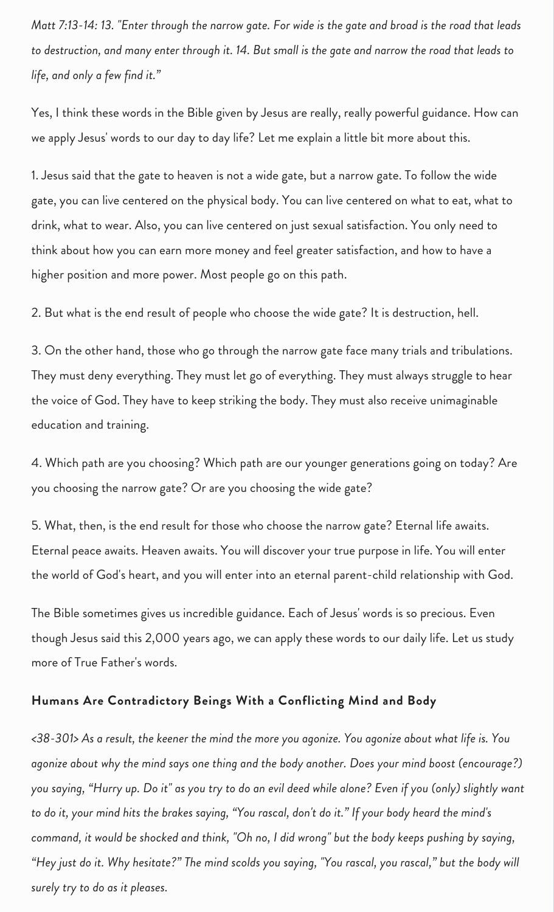*Matt 7:13-14: 13. "Enter through the narrow gate. For wide is the gate and broad is the road that leads* to destruction, and many enter through it. 14. But small is the gate and narrow the road that leads to life, and only a few find it."

Yes, I think these words in the Bible given by Jesus are really, really powerful guidance. How can we apply Jesus' words to our day to day life? Let me explain a little bit more about this.

1. Jesus said that the gate to heaven is not a wide gate, but a narrow gate. To follow the wide gate, you can live centered on the physical body. You can live centered on what to eat, what to drink, what to wear. Also, you can live centered on just sexual satisfaction. You only need to think about how you can earn more money and feel greater satisfaction, and how to have a higher position and more power. Most people go on this path.

2. But what is the end result of people who choose the wide gate? It is destruction, hell.

3. On the other hand, those who go through the narrow gate face many trials and tribulations. They must deny everything. They must let go of everything. They must always struggle to hear the voice of God. They have to keep striking the body. They must also receive unimaginable education and training.

4. Which path are you choosing? Which path are our younger generations going on today? Are you choosing the narrow gate? Or are you choosing the wide gate?

5. What, then, is the end result for those who choose the narrow gate? Eternal life awaits. Eternal peace awaits. Heaven awaits. You will discover your true purpose in life. You will enter the world of God's heart, and you will enter into an eternal parent-child relationship with God.

The Bible sometimes gives us incredible guidance. Each of Jesus' words is so precious. Even though Jesus said this 2,000 years ago, we can apply these words to our daily life. Let us study more of True Father's words.

### Humans Are Contradictory Beings With a Conflicting Mind and Body

<38-301> As a result, the keener the mind the more you agonize. You agonize about what life is. You agonize about why the mind says one thing and the body another. Does your mind boost (encourage?) you saying, "Hurry up. Do it" as you try to do an evil deed while alone? Even if you (only) slightly want to do it, your mind hits the brakes saying, "You rascal, don't do it." If your body heard the mind's command, it would be shocked and think, "Oh no, I did wrong" but the body keeps pushing by saying, "Hey just do it. Why hesitate?" The mind scolds you saying, "You rascal, you rascal," but the body will surely try to do as it pleases.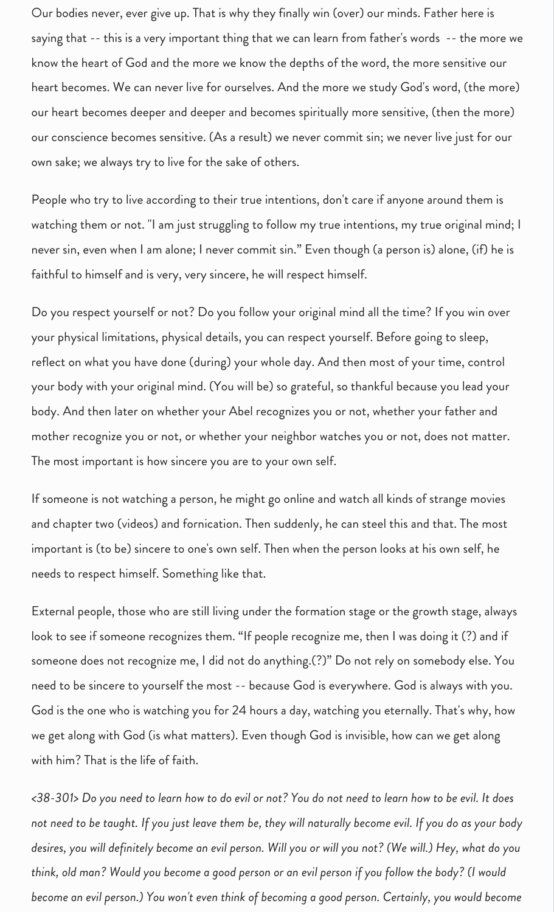Our bodies never, ever give up. That is why they finally win (over) our minds. Father here is saying that -- this is a very important thing that we can learn from father's words -- the more we know the heart of God and the more we know the depths of the word, the more sensitive our heart becomes. We can never live for ourselves. And the more we study God's word, (the more) our heart becomes deeper and deeper and becomes spiritually more sensitive, (then the more) our conscience becomes sensitive. (As a result) we never commit sin; we never live just for our own sake; we always try to live for the sake of others.

People who try to live according to their true intentions, don't care if anyone around them is watching them or not. "I am just struggling to follow my true intentions, my true original mind; I never sin, even when I am alone; I never commit sin." Even though (a person is) alone, (if) he is faithful to himself and is very, very sincere, he will respect himself.

Do you respect yourself or not? Do you follow your original mind all the time? If you win over your physical limitations, physical details, you can respect yourself. Before going to sleep, reflect on what you have done (during) your whole day. And then most of your time, control your body with your original mind. (You will be) so grateful, so thankful because you lead your body. And then later on whether your Abel recognizes you or not, whether your father and mother recognize you or not, or whether your neighbor watches you or not, does not matter. The most important is how sincere you are to your own self.

If someone is not watching a person, he might go online and watch all kinds of strange movies and chapter two (videos) and fornication. Then suddenly, he can steel this and that. The most important is (to be) sincere to one's own self. Then when the person looks at his own self, he needs to respect himself. Something like that.

External people, those who are still living under the formation stage or the growth stage, always look to see if someone recognizes them. "If people recognize me, then I was doing it (?) and if someone does not recognize me, I did not do anything.(?)" Do not rely on somebody else. You need to be sincere to yourself the most -- because God is everywhere. God is always with you. God is the one who is watching you for 24 hours a day, watching you eternally. That's why, how we get along with God (is what matters). Even though God is invisible, how can we get along with him? That is the life of faith.

*<38-301> Do ou need to learn how to do evil or not? You do not need to learn how to e evil. It doe* not need to be taught. If you just leave them be, they will naturally become evil. If you do as your body desires, you will definitely become an evil person. Will you or will you not? (We will.) Hey, what do you think, old man? Would you become a good person or an evil person if you follow the body? (I would become an evil person.) You won't even think of becoming a good person. Certainly, you would become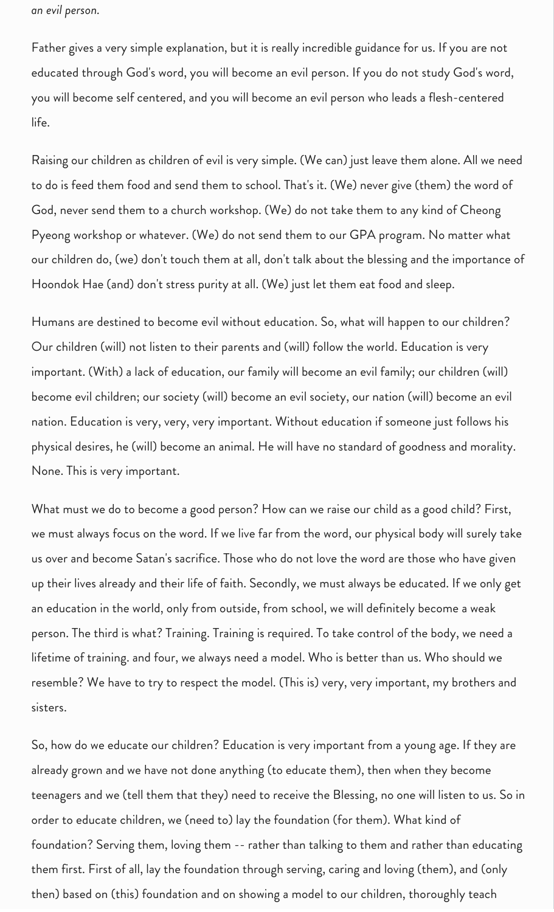*an evil peron.*

Father gives a very simple explanation, but it is really incredible guidance for us. If you are not educated through God's word, you will become an evil person. If you do not study God's word, you will become self centered, and you will become an evil person who leads a flesh-centered life.

Raising our children as children of evil is very simple. (We can) just leave them alone. All we need to do is feed them food and send them to school. That's it. (We) never give (them) the word of God, never send them to a church workshop. (We) do not take them to any kind of Cheong Pyeong workshop or whatever. (We) do not send them to our GPA program. No matter what our children do, (we) don't touch them at all, don't talk about the blessing and the importance of Hoondok Hae (and) don't stress purity at all. (We) just let them eat food and sleep.

Humans are destined to become evil without education. So, what will happen to our children? Our children (will) not listen to their parents and (will) follow the world. Education is very important. (With) a lack of education, our family will become an evil family; our children (will) become evil children; our society (will) become an evil society, our nation (will) become an evil nation. Education is very, very, very important. Without education if someone just follows his physical desires, he (will) become an animal. He will have no standard of goodness and morality. None. This is very important.

What must we do to become a good person? How can we raise our child as a good child? First, we must always focus on the word. If we live far from the word, our physical body will surely take us over and become Satan's sacrifice. Those who do not love the word are those who have given up their lives already and their life of faith. Secondly, we must always be educated. If we only get an education in the world, only from outside, from school, we will definitely become a weak person. The third is what? Training. Training is required. To take control of the body, we need a lifetime of training. and four, we always need a model. Who is better than us. Who should we resemble? We have to try to respect the model. (This is) very, very important, my brothers and sisters.

So, how do we educate our children? Education is very important from a young age. If they are already grown and we have not done anything (to educate them), then when they become teenagers and we (tell them that they) need to receive the Blessing, no one will listen to us. So in order to educate children, we (need to) lay the foundation (for them). What kind of foundation? Serving them, loving them -- rather than talking to them and rather than educating them first. First of all, lay the foundation through serving, caring and loving (them), and (only then) based on (this) foundation and on showing a model to our children, thoroughly teach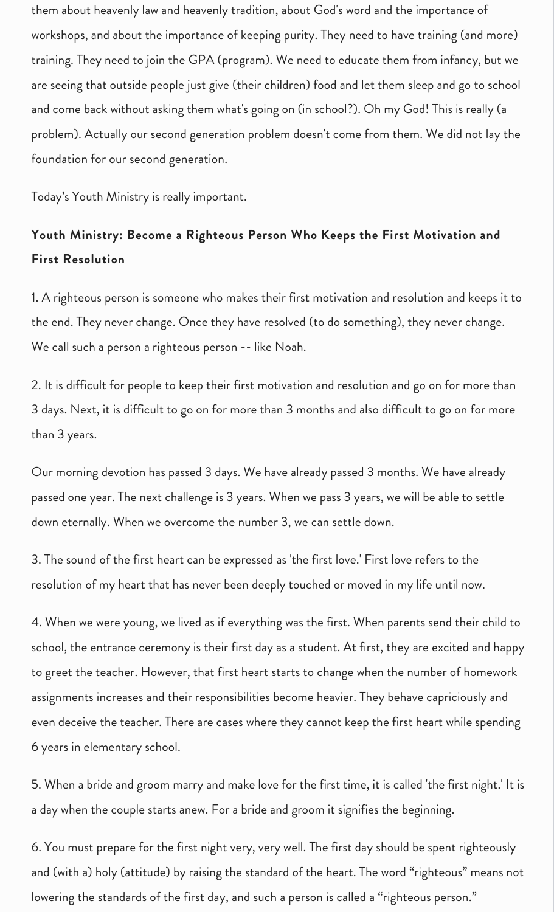them about heavenly law and heavenly tradition, about God's word and the importance of workshops, and about the importance of keeping purity. They need to have training (and more) training. They need to join the GPA (program). We need to educate them from infancy, but we are seeing that outside people just give (their children) food and let them sleep and go to school and come back without asking them what's going on (in school?). Oh my God! This is really (a problem). Actually our second generation problem doesn't come from them. We did not lay the foundation for our second generation.

Today's Youth Ministry is really important.

# Youth Ministry: Become a Righteous Person Who Keeps the First Motivation and **First Resolution**

1. A righteous person is someone who makes their first motivation and resolution and keeps it to the end. They never change. Once they have resolved (to do something), they never change. We call such a person a righteous person -- like Noah.

2. It is difficult for people to keep their first motivation and resolution and go on for more than 3 days. Next, it is difficult to go on for more than 3 months and also difficult to go on for more than 3 years.

Our morning devotion has passed 3 days. We have already passed 3 months. We have already passed one year. The next challenge is 3 years. When we pass 3 years, we will be able to settle down eternally. When we overcome the number 3, we can settle down.

3. The sound of the first heart can be expressed as 'the first love.' First love refers to the resolution of my heart that has never been deeply touched or moved in my life until now.

4. When we were young, we lived as if everything was the first. When parents send their child to school, the entrance ceremony is their first day as a student. At first, they are excited and happy to greet the teacher. However, that first heart starts to change when the number of homework assignments increases and their responsibilities become heavier. They behave capriciously and even deceive the teacher. There are cases where they cannot keep the first heart while spending 6 years in elementary school.

5. When a bride and groom marry and make love for the first time, it is called 'the first night.' It is a day when the couple starts anew. For a bride and groom it signifies the beginning.

6. You must prepare for the first night very, very well. The first day should be spent righteously and (with a) holy (attitude) by raising the standard of the heart. The word "righteous" means not lowering the standards of the first day, and such a person is called a "righteous person."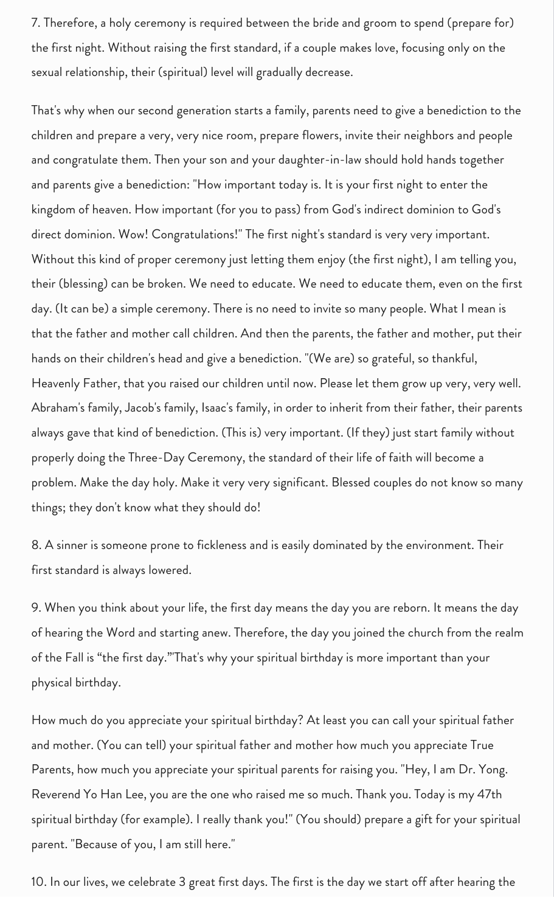7. Therefore, a holy ceremony is required between the bride and groom to spend (prepare for) the first night. Without raising the first standard, if a couple makes love, focusing only on the sexual relationship, their (spiritual) level will gradually decrease.

That's why when our second generation starts a family, parents need to give a benediction to the children and prepare a very, very nice room, prepare flowers, invite their neighbors and people and congratulate them. Then your son and your daughter-in-law should hold hands together and parents give a benediction: "How important today is. It is your first night to enter the kingdom of heaven. How important (for you to pass) from God's indirect dominion to God's direct dominion. Wow! Congratulations!" The first night's standard is very very important. Without this kind of proper ceremony just letting them enjoy (the first night), I am telling you, their (blessing) can be broken. We need to educate. We need to educate them, even on the first day. (It can be) a simple ceremony. There is no need to invite so many people. What I mean is that the father and mother call children. And then the parents, the father and mother, put their hands on their children's head and give a benediction. "(We are) so grateful, so thankful, Heavenly Father, that you raised our children until now. Please let them grow up very, very well. Abraham's family, Jacob's family, Isaac's family, in order to inherit from their father, their parents always gave that kind of benediction. (This is) very important. (If they) just start family without properly doing the Three-Day Ceremony, the standard of their life of faith will become a problem. Make the day holy. Make it very very significant. Blessed couples do not know so many things; they don't know what they should do!

8. A sinner is someone prone to fickleness and is easily dominated by the environment. Their first standard is always lowered.

9. When you think about your life, the first day means the day you are reborn. It means the day of hearing the Word and starting anew. Therefore, the day you joined the church from the realm of the Fall is "the first day."'That's why your spiritual birthday is more important than your physical birthday.

How much do you appreciate your spiritual birthday? At least you can call your spiritual father and mother. (You can tell) your spiritual father and mother how much you appreciate True Parents, how much you appreciate your spiritual parents for raising you. "Hey, I am Dr. Yong. Reverend Yo Han Lee, you are the one who raised me so much. Thank you. Today is my 47th spiritual birthday (for example). I really thank you!" (You should) prepare a gift for your spiritual parent. "Because of you, I am still here."

10. In our lives, we celebrate 3 great first days. The first is the day we start off after hearing the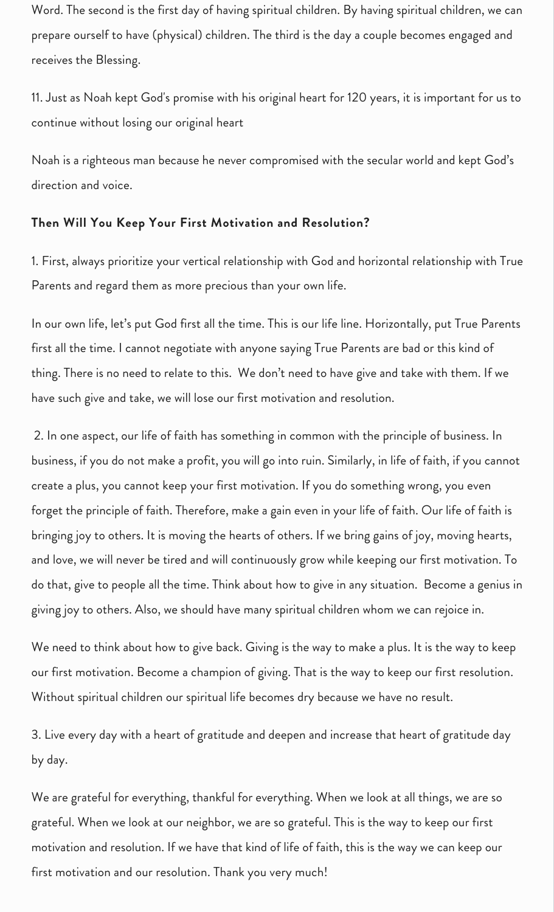Word. The second is the first day of having spiritual children. By having spiritual children, we can prepare ourself to have (physical) children. The third is the day a couple becomes engaged and receives the Blessing.

11. Just as Noah kept God's promise with his original heart for 120 years, it is important for us to continue without losing our original heart

Noah is a righteous man because he never compromised with the secular world and kept God's direction and voice.

### **Then Will You Keep Your Firt Motivation and Reolution?**

1. First, always prioritize your vertical relationship with God and horizontal relationship with True Parents and regard them as more precious than your own life.

In our own life, let's put God first all the time. This is our life line. Horizontally, put True Parents first all the time. I cannot negotiate with anyone saying True Parents are bad or this kind of thing. There is no need to relate to this. We don't need to have give and take with them. If we have such give and take, we will lose our first motivation and resolution.

2. In one aspect, our life of faith has something in common with the principle of business. In business, if you do not make a profit, you will go into ruin. Similarly, in life of faith, if you cannot create a plus, you cannot keep your first motivation. If you do something wrong, you even forget the principle of faith. Therefore, make a gain even in your life of faith. Our life of faith is bringing joy to others. It is moving the hearts of others. If we bring gains of joy, moving hearts, and love, we will never be tired and will continuously grow while keeping our first motivation. To do that, give to people all the time. Think about how to give in any situation. Become a genius in giving joy to others. Also, we should have many spiritual children whom we can rejoice in.

We need to think about how to give back. Giving is the way to make a plus. It is the way to keep our first motivation. Become a champion of giving. That is the way to keep our first resolution. Without spiritual children our spiritual life becomes dry because we have no result.

3. Live every day with a heart of gratitude and deepen and increase that heart of gratitude day by day.

We are grateful for everything, thankful for everything. When we look at all things, we are so grateful. When we look at our neighbor, we are so grateful. This is the way to keep our first motivation and resolution. If we have that kind of life of faith, this is the way we can keep our first motivation and our resolution. Thank you very much!